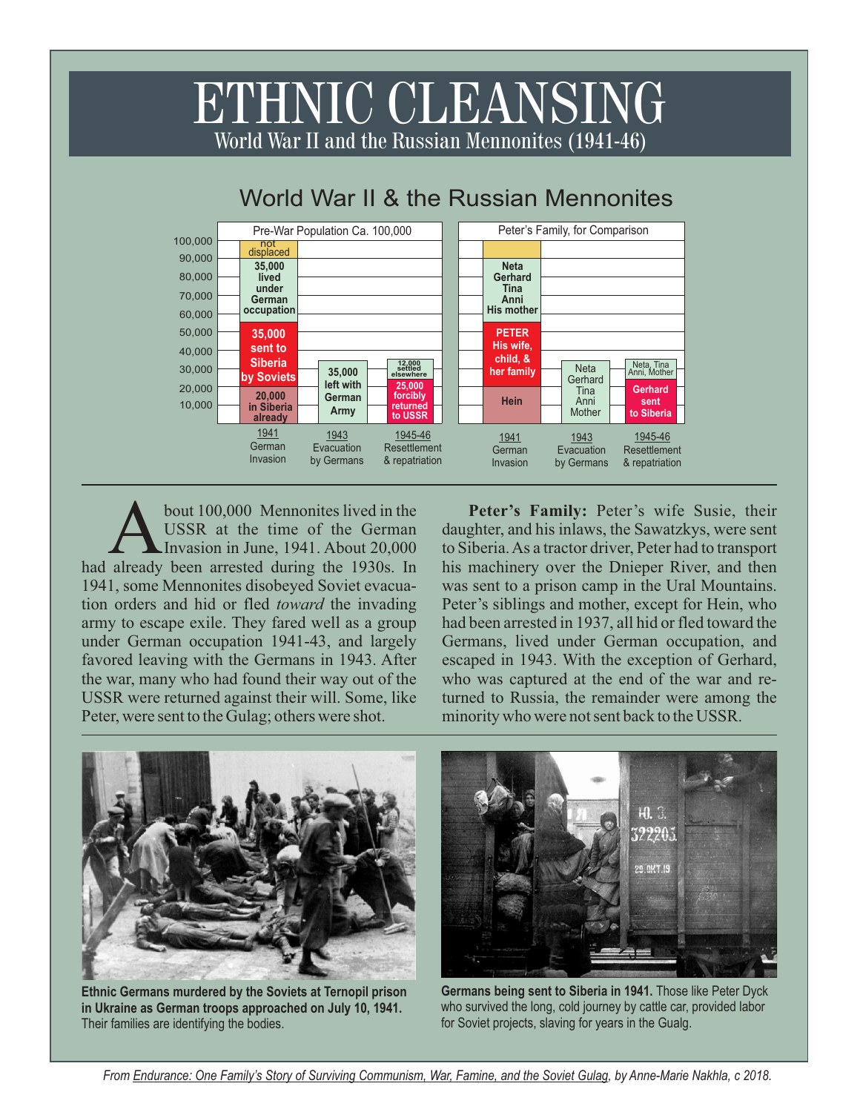## ETHNIC CLEANSING World War II and the Russian Mennonites (1941-46)



## World War II & the Russian Mennonites

bout 100,000 Mennonites lived in the USSR at the time of the German Invasion in June, 1941. About 20,000 had already been arrested during the 1930s. In Invasion in June, 1941. About 20,000 1941, some Mennonites disobeyed Soviet evacuation orders and hid or fled *toward* the invading army to escape exile. They fared well as a group under German occupation 1941-43, and largely favored leaving with the Germans in 1943. After the war, many who had found their way out of the USSR were returned against their will. Some, like Peter, were sent to the Gulag; others were shot.

**Peter's Family:** Peter's wife Susie, their daughter, and his inlaws, the Sawatzkys, were sent to Siberia. As a tractor driver, Peter had to transport his machinery over the Dnieper River, and then was sent to a prison camp in the Ural Mountains. Peter's siblings and mother, except for Hein, who had been arrested in 1937, all hid or fled toward the Germans, lived under German occupation, and escaped in 1943. With the exception of Gerhard, who was captured at the end of the war and returned to Russia, the remainder were among the minority who were not sent back to the USSR.



**Ethnic Germans murdered by the Soviets at Ternopil prison in Ukraine as German troops approached on July 10, 1941.** Their families are identifying the bodies.



**Germans being sent to Siberia in 1941.** Those like Peter Dyck who survived the long, cold journey by cattle car, provided labor for Soviet projects, slaving for years in the Gualg.